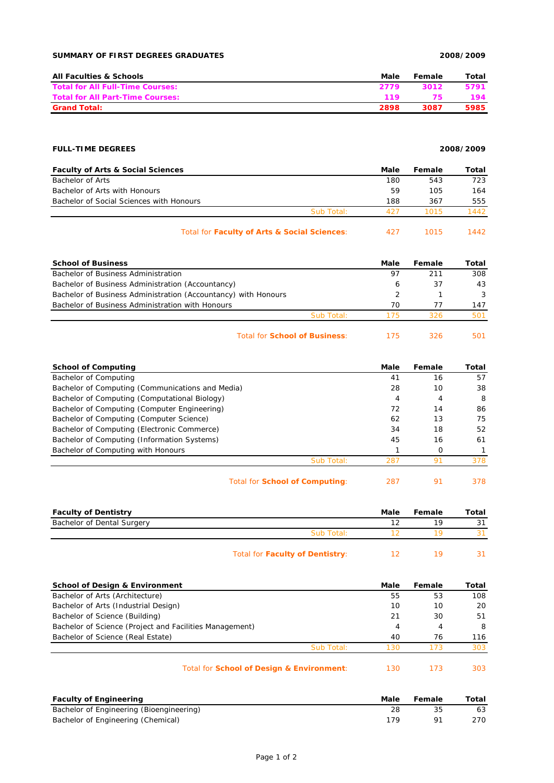# **SUMMARY OF FIRST DEGREES GRADUATES 2008/2009**

| <b>All Faculties &amp; Schools</b>      | Male | Female | Total |
|-----------------------------------------|------|--------|-------|
| <b>Total for All Full-Time Courses:</b> | 2779 | 3012   | 5791  |
| <b>Total for All Part-Time Courses:</b> | 119. | 75     | 194   |
| <b>Grand Total:</b>                     | 2898 | 3087   | 5985  |

# **FULL-TIME DEGREES 2008/2009**

| <b>Faculty of Arts &amp; Social Sciences</b> |            | Male | Female | Total |
|----------------------------------------------|------------|------|--------|-------|
| Bachelor of Arts                             |            | 180  | 543    | 723   |
| Bachelor of Arts with Honours                |            | 59   | 105    | 164   |
| Bachelor of Social Sciences with Honours     |            | 188  | 367    | 555   |
|                                              | Sub Total: | 427  | 1015   | 1442  |
|                                              |            |      |        |       |

| Total for Faculty of Arts & Social Sciences: |  | 1015 | 1442 |
|----------------------------------------------|--|------|------|
|----------------------------------------------|--|------|------|

| <b>School of Business</b>                                      |            | Male | Female | Total         |
|----------------------------------------------------------------|------------|------|--------|---------------|
| Bachelor of Business Administration                            |            | 97   | 211    | 308           |
| Bachelor of Business Administration (Accountancy)              |            | 6    | 37     | 43            |
| Bachelor of Business Administration (Accountancy) with Honours |            |      |        | $\mathcal{R}$ |
| Bachelor of Business Administration with Honours               |            | 70   | 77     | 147           |
|                                                                | Sub Total: | 175  | 326    | 501           |
|                                                                |            |      |        |               |

## Total for **School of Business**: 175 326 501

| <b>School of Computing</b>                       | Male | Female | Total |
|--------------------------------------------------|------|--------|-------|
| Bachelor of Computing                            | 41   | 16     | 57    |
| Bachelor of Computing (Communications and Media) | 28   | 10     | 38    |
| Bachelor of Computing (Computational Biology)    | 4    | 4      | -8    |
| Bachelor of Computing (Computer Engineering)     | 72   | 14     | 86    |
| Bachelor of Computing (Computer Science)         | 62   | 13     | 75    |
| Bachelor of Computing (Electronic Commerce)      | 34   | 18     | 52    |
| Bachelor of Computing (Information Systems)      | 45   | 16     | 61    |
| Bachelor of Computing with Honours               |      | O      |       |
| Sub Total:                                       | 287  | ò.     | 378   |
|                                                  |      |        |       |

| Total for <b>School of Computing:</b> | 287 |  | 378 |
|---------------------------------------|-----|--|-----|
|---------------------------------------|-----|--|-----|

| <b>Faculty of Dentistry</b> |                                 | Male | Female | Total |
|-----------------------------|---------------------------------|------|--------|-------|
| Bachelor of Dental Surgery  |                                 | 12   | 19     | 31    |
|                             | Sub Total:                      |      | 1 Q    |       |
|                             | Total for Faculty of Dentistry: |      | 19     |       |

| <b>School of Design &amp; Environment</b>               | Male | Female | Total |
|---------------------------------------------------------|------|--------|-------|
| Bachelor of Arts (Architecture)                         | 55   | 53     | 108   |
| Bachelor of Arts (Industrial Design)                    | 10   | 10     | 20    |
| Bachelor of Science (Building)                          | 21   | 30     | 51    |
| Bachelor of Science (Project and Facilities Management) | 4    | 4      | 8     |
| Bachelor of Science (Real Estate)                       | 40   | 76     | 116   |
| Sub Total:                                              | 130  | 173    | 303   |
| Total for School of Design & Environment:               | 130  | 173    | 303   |

| <b>Faculty of Engineering</b>            | Male | Female | Total |
|------------------------------------------|------|--------|-------|
| Bachelor of Engineering (Bioengineering) |      |        | 63    |
| Bachelor of Engineering (Chemical)       | 179  |        | 270   |